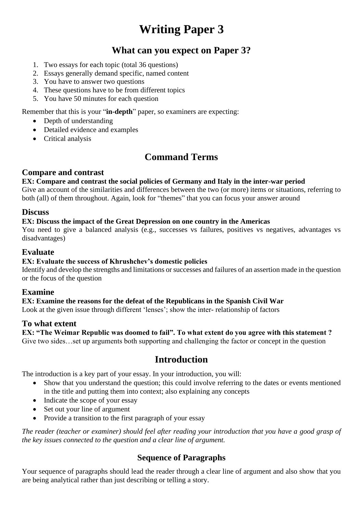# **Writing Paper 3**

# **What can you expect on Paper 3?**

- 1. Two essays for each topic (total 36 questions)
- 2. Essays generally demand specific, named content
- 3. You have to answer two questions
- 4. These questions have to be from different topics
- 5. You have 50 minutes for each question

Remember that this is your "**in-depth**" paper, so examiners are expecting:

- Depth of understanding
- Detailed evidence and examples
- Critical analysis

# **Command Terms**

#### **Compare and contrast**

#### **EX: Compare and contrast the social policies of Germany and Italy in the inter-war period**

Give an account of the similarities and differences between the two (or more) items or situations, referring to both (all) of them throughout. Again, look for "themes" that you can focus your answer around

#### **Discuss**

#### **EX: Discuss the impact of the Great Depression on one country in the Americas**

You need to give a balanced analysis (e.g., successes vs failures, positives vs negatives, advantages vs disadvantages)

### **Evaluate**

#### **EX: Evaluate the success of Khrushchev's domestic policies**

Identify and develop the strengths and limitations or successes and failures of an assertion made in the question or the focus of the question

#### **Examine**

#### **EX: Examine the reasons for the defeat of the Republicans in the Spanish Civil War**

Look at the given issue through different 'lenses'; show the inter- relationship of factors

#### **To what extent**

#### **EX: "The Weimar Republic was doomed to fail". To what extent do you agree with this statement ?** Give two sides…set up arguments both supporting and challenging the factor or concept in the question

# **Introduction**

The introduction is a key part of your essay. In your introduction, you will:

- Show that you understand the question; this could involve referring to the dates or events mentioned in the title and putting them into context; also explaining any concepts
- Indicate the scope of your essay
- Set out your line of argument
- Provide a transition to the first paragraph of your essay

*The reader (teacher or examiner) should feel after reading your introduction that you have a good grasp of the key issues connected to the question and a clear line of argument.*

#### **Sequence of Paragraphs**

Your sequence of paragraphs should lead the reader through a clear line of argument and also show that you are being analytical rather than just describing or telling a story.